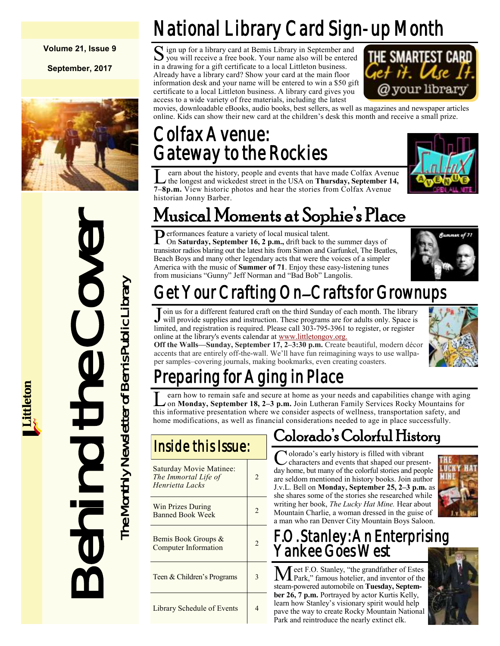#### **Volume 21, Issue 9**

**September, 2017**



Musical Mom<br>
Performances feature a variet<br>
The Con Saturday, September is<br>
The Saturday September is<br>
America with the music of Sum<br>
Hermitical and registration is required in<br>
Insider at the Uniter Analys September is<br>
I

## National Library Card Sign-up Month

S ign up for a library card at Bemis Library in September and<br>you will receive a free book. Your name also will be entered you will receive a free book. Your name also will be entered in a drawing for a gift certificate to a local Littleton business. Already have a library card? Show your card at the main floor information desk and your name will be entered to win a \$50 gift certificate to a local Littleton business. A library card gives you access to a wide variety of free materials, including the latest



movies, downloadable eBooks, audio books, best sellers, as well as magazines and newspaper articles online. Kids can show their new card at the children's desk this month and receive a small prize.

### Colfax Avenue: Gateway to the Rockies





## Musical Moments at Sophie's Place

Performances feature a variety of local musical talent.<br>On Saturday, September 16, 2 p.m., drift back to the On **Saturday, September 16, 2 p.m.,** drift back to the summer days of transistor radios blaring out the latest hits from Simon and Garfunkel, The Beatles, Beach Boys and many other legendary acts that were the voices of a simpler America with the music of **Summer of 71**. Enjoy these easy-listening tunes from musicians "Gunny" Jeff Norman and "Bad Bob" Langolis.



## Get Your Crafting On–Crafts for Grownups

Join us for a different featured craft on the third Sunday of each month. The library will provide supplies and instruction. These programs are for adults only. Space is oin us for a different featured craft on the third Sunday of each month. The library limited, and registration is required. Please call 303-795-3961 to register, or register online at the library's events calendar at [www.littletongov.org.](https://www.littletongov.org/city-services/city-departments/bemis-library/library-events-calendar)

**Off the Walls—Sunday, September 17, 2–3:30 p.m.** Create beautiful, modern décor accents that are entirely off-the-wall. We'll have fun reimagining ways to use wallpaper samples–covering journals, making bookmarks, even creating coasters.



## eparing for Aging in Place

L earn how to remain safe and secure at home as your needs and capabilities change with agi<br>on Monday, September 18, 2–3 p.m. Join Lutheran Family Services Rocky Mountains for<br>this informative presentation where we conside earn how to remain safe and secure at home as your needs and capabilities change with aging on **Monday, September 18, 2–3 p.m.** Join Lutheran Family Services Rocky Mountains for home modifications, as well as financial considerations needed to age in place successfully.

|  |  | Inside this Issue: |
|--|--|--------------------|
|  |  |                    |

| <b>Saturday Movie Matinee:</b><br>The Immortal Life of<br>Henrietta Lacks | $\mathfrak{D}$ |
|---------------------------------------------------------------------------|----------------|
| Win Prizes During<br><b>Banned Book Week</b>                              | 2              |
| Bemis Book Groups &<br><b>Computer Information</b>                        | $\mathfrak{D}$ |
| Teen & Children's Programs                                                | 3              |
| Library Schedule of Events                                                |                |

## Colorado's Colorful History

C olorado's early history is filled with vibrant characters and events that shaped our presentday home, but many of the colorful stories and people are seldom mentioned in history books. Join author J.v.L. Bell on **Monday, September 25, 2–3 p.m.** as she shares some of the stories she researched while writing her book, *The Lucky Hat Mine.* Hear about Mountain Charlie, a woman dressed in the guise of a man who ran Denver City Mountain Boys Saloon.



### F.O. Stanley: An Enterprising Yankee Goes West

Meet F.O. Stanley, "the grandfather of Estes Park," famous hotelier, and inventor of the steam-powered automobile on **Tuesday, September 26, 7 p.m.** Portrayed by actor Kurtis Kelly, learn how Stanley's visionary spirit would help pave the way to create Rocky Mountain National Park and reintroduce the nearly extinct elk.

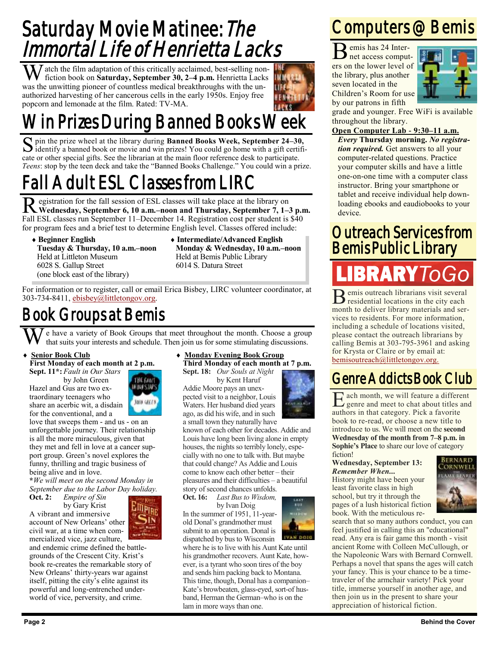## Saturday Movie Matinee: The Immortal Life of Henrietta Lacks

 $\sum \int$  atch the film adaptation of this critically acclaimed, best-selling nonfiction book on **Saturday, September 30, 2–4 p.m.** Henrietta Lacks was the unwitting pioneer of countless medical breakthroughs with the unauthorized harvesting of her cancerous cells in the early 1950s. Enjoy free popcorn and lemonade at the film. Rated: TV-MA.



S pin the prize wheel at the library during **Banned Books Week, September 24–30,** identify a banned book or movie and win prizes! You could go home with a gift certifiidentify a banned book or movie and win prizes! You could go home with a gift certificate or other special gifts. See the librarian at the main floor reference desk to participate. *Teens*: stop by the teen deck and take the "Banned Books Challenge." You could win a prize.

## Fall Adult ESL Classes from LIRC

Registration for the fall session of ESL classes will take place at the library on Wednesday, September 6, 10 a.m.–noon and Thursday, September 7, 1–3 p.m. egistration for the fall session of ESL classes will take place at the library on Fall ESL classes run September 11–December 14. Registration cost per student is \$40 for program fees and a brief test to determine English level. Classes offered include:

- **Beginner English Tuesday & Thursday, 10 a.m.–noon** Held at Littleton Museum 6028 S. Gallup Street (one block east of the library)
- **Intermediate/Advanced English Monday & Wednesday, 10 a.m.–noon** Held at Bemis Public Library 6014 S. Datura Street

For information or to register, call or email Erica Bisbey, LIRC volunteer coordinator, at 303-734-8411, [ebisbey@littletongov.org.](mailto:ebisbey@littletongov.org)

### Book Groups at Bemis

We have a variety of Book Groups that meet throughout the month. Choose a group that suits your interests and schedule. Then join us for some stimulating discussions.

#### **Senior Book Club**

#### **First Monday of each month at 2 p.m.**

**Sept. 11\*:** *Fault in Our Stars* by John Green

Hazel and Gus are two extraordinary teenagers who share an acerbic wit, a disdain for the conventional, and a

love that sweeps them - and us - on an unforgettable journey. Their relationship is all the more miraculous, given that they met and fell in love at a cancer support group. Green's novel explores the funny, thrilling and tragic business of being alive and in love.

**\****We will meet on the second Monday in September due to the Labor Day holiday.*

**Oct. 2:** *Empire of Sin*

by Gary Krist A vibrant and immersive account of New Orleans' other civil war, at a time when commercialized vice, jazz culture,

 $\mathbb{H}_{\text{PIR}}$ 

and endemic crime defined the battlegrounds of the Crescent City. Krist's book re-creates the remarkable story of New Orleans' thirty-years war against itself, pitting the city's elite against its powerful and long-entrenched underworld of vice, perversity, and crime.

#### **Monday Evening Book Group Third Monday of each month at 7 p.m.**

**Sept. 18:** *Our Souls at Night* by Kent Haruf Addie Moore pays an unexpected visit to a neighbor, Louis Waters. Her husband died years ago, as did his wife, and in such a small town they naturally have

known of each other for decades. Addie and Louis have long been living alone in empty houses, the nights so terribly lonely, especially with no one to talk with. But maybe that could change? As Addie and Louis come to know each other better – their pleasures and their difficulties – a beautiful story of second chances unfolds.

**Oct. 16:** *Last Bus to Wisdom,* by Ivan Doig In the summer of 1951, 11-yearold Donal's grandmother must submit to an operation. Donal is dispatched by bus to Wisconsin

where he is to live with his Aunt Kate until his grandmother recovers. Aunt Kate, however, is a tyrant who soon tires of the boy and sends him packing back to Montana. This time, though, Donal has a companion– Kate's browbeaten, glass-eyed, sort-of husband, Herman the German–who is on the lam in more ways than one.

### Computers @ Bemis

B emis has 24 Internet access computers on the lower level of the library, plus another seven located in the Children's Room for use by our patrons in fifth



grade and younger. Free WiFi is available throughout the library.

#### **Open Computer Lab - 9:30–11 a.m.**

*Every* **Thursday morning.** *No registration required.* Get answers to all your computer-related questions. Practice your computer skills and have a little one-on-one time with a computer class instructor. Bring your smartphone or tablet and receive individual help downloading ebooks and eaudiobooks to your device.

### Outreach Services from Bemis Public Library

## BRARY IOGO

B emis outreach librarians visit several residential locations in the city each month to deliver library materials and services to residents. For more information, including a schedule of locations visited, please contact the outreach librarians by calling Bemis at 303-795-3961 and asking for Krysta or Claire or by email at: [bemisoutreach@littletongov.org.](mailto:bemisoutreach@littletongov.org)

### Genre Addicts Book Club

E genre and meet to chat about titles and ach month, we will feature a different authors in that category. Pick a favorite book to re-read, or choose a new title to introduce to us. We will meet on the **second Wednesday of the month from 7–8 p.m. in Sophie's Place** to share our love of category fiction!

#### **Wednesday, September 13:** *Remember When...*

History might have been your least favorite class in high school, but try it through the pages of a lush historical fiction book. With the meticulous re-



search that so many authors conduct, you can feel justified in calling this an "educational" read. Any era is fair game this month - visit ancient Rome with Colleen McCullough, or the Napoleonic Wars with Bernard Cornwell. Perhaps a novel that spans the ages will catch your fancy. This is your chance to be a timetraveler of the armchair variety! Pick your title, immerse yourself in another age, and then join us in the present to share your appreciation of historical fiction.

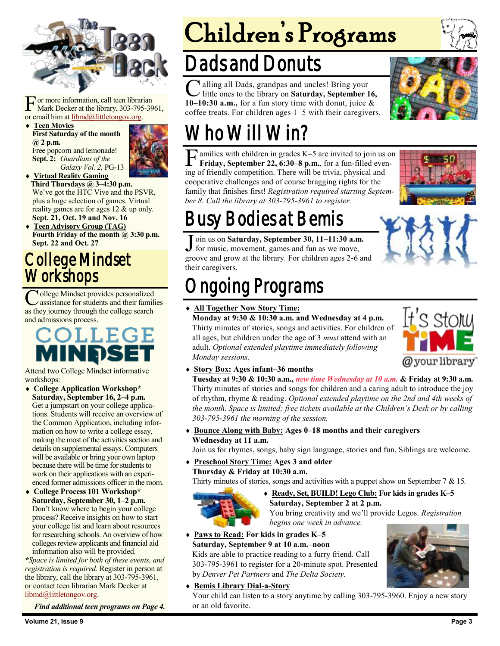

For more information, call teen librar<br>
Mark Decker at the library, 303-795<br>
or email him at <u>libmd@littletongov.org</u>. or more information, call teen librarian Mark Decker at the library, 303-795-3961,

 **Teen Movies First Saturday of the month @ 2 p.m.** Free popcorn and lemonade! **Sept. 2:** *Guardians of the Galaxy Vol. 2,* PG-13



**Third Thursdays @ 3–4:30 p.m.** We've got the HTC Vive and the PSVR, plus a huge selection of games. Virtual reality games are for ages 12 & up only. **Sept. 21, Oct. 19 and Nov. 16**

 **Teen Advisory Group (TAG) Fourth Friday of the month @ 3:30 p.m. Sept. 22 and Oct. 27**

### College Mindset **Workshops**

**C** ollege Mindset provides personalized<br>assistance for students and their famili<br>as they journey through the college search ollege Mindset provides personalized assistance for students and their families and admissions process.

### COLLE MINDS

Attend two College Mindset informative workshops:

- **College Application Workshop\* Saturday, September 16, 2–4 p.m.** Get a jumpstart on your college applications. Students will receive an overview of the Common Application, including information on how to write a college essay, making the most of the activities section and details on supplemental essays. Computers will be available or bring your own laptop because there will be time for students to work on their applications with an experienced former admissions officer in the room.
- **College Process 101 Workshop\* Saturday, September 30, 1–2 p.m.** Don't know where to begin your college process? Receive insights on how to start your college list and learn about resources for researching schools. An overview of how colleges review applicants and financial aid information also will be provided.

*\*Space is limited for both of these events, and registration is required.* Register in person at the library, call the library at 303-795-3961, or contact teen librarian Mark Decker at [libmd@littletongov.org.](mailto:libmd@littletongov.org)

*Find additional teen programs on Page 4.*

# Children's Programs

## Dads and Donuts

 $\overline{C}$ If alling all Dads, grandpas and uncles! Bring your little ones to the library on **Saturday, September 16, 10–10:30 a.m.,** for a fun story time with donut, juice & coffee treats. For children ages 1–5 with their caregivers.



## Who Will Win?

**F** amilies with children in grades K–5 are invited to join us **Friday**, **September 22, 6:30–8 p.m.**, for a fun-filled even ing of friendly competition. There will be trivia, physical and amilies with children in grades K–5 are invited to join us on **Friday, September 22, 6:30–8 p.m.**, for a fun-filled evencooperative challenges and of course bragging rights for the family that finishes first! *Registration required starting September 8. Call the library at 303-795-3961 to register.*



## Busy Bodies at Bemis

 $\overline{\mathsf{J}}$ oin us on **Saturday, September 30, 11–11:30 a.m.**  for music, movement, games and fun as we move, groove and grow at the library. For children ages 2-6 and their caregivers.

## ngoing Programs

#### **All Together Now Story Time:**

**Monday at 9:30 & 10:30 a.m. and Wednesday at 4 p.m.** Thirty minutes of stories, songs and activities. For children of all ages, but children under the age of 3 *must* attend with an adult. *Optional extended playtime immediately following Monday sessions.*



**Story Box: Ages infant–36 months**

**Tuesday at 9:30 & 10:30 a.m.,** *new time Wednesday at 10 a.m.* **& Friday at 9:30 a.m.** Thirty minutes of stories and songs for children and a caring adult to introduce the joy of rhythm, rhyme & reading. *Optional extended playtime on the 2nd and 4th weeks of the month. Space is limited; free tickets available at the Children's Desk or by calling 303-795-3961 the morning of the session.*

 **Bounce Along with Baby: Ages 0–18 months and their caregivers Wednesday at 11 a.m.**

Join us for rhymes, songs, baby sign language, stories and fun. Siblings are welcome.

 **Preschool Story Time: Ages 3 and older Thursday & Friday at 10:30 a.m.**

Thirty minutes of stories, songs and activities with a puppet show on September 7 & 15*.*



 **Ready, Set, BUILD! Lego Club: For kids in grades K–5 Saturday, September 2 at 2 p.m.** You bring creativity and we'll provide Legos. *Registration* 

*begins one week in advance.*

#### **Paws to Read: For kids in grades K–5**

**Saturday, September 9 at 10 a.m.–noon** Kids are able to practice reading to a furry friend. Call 303-795-3961 to register for a 20-minute spot. Presented by *Denver Pet Partners* and *The Delta Society.*

**Bemis Library Dial-a-Story**

Your child can listen to a story anytime by calling 303-795-3960. Enjoy a new story or an old favorite.